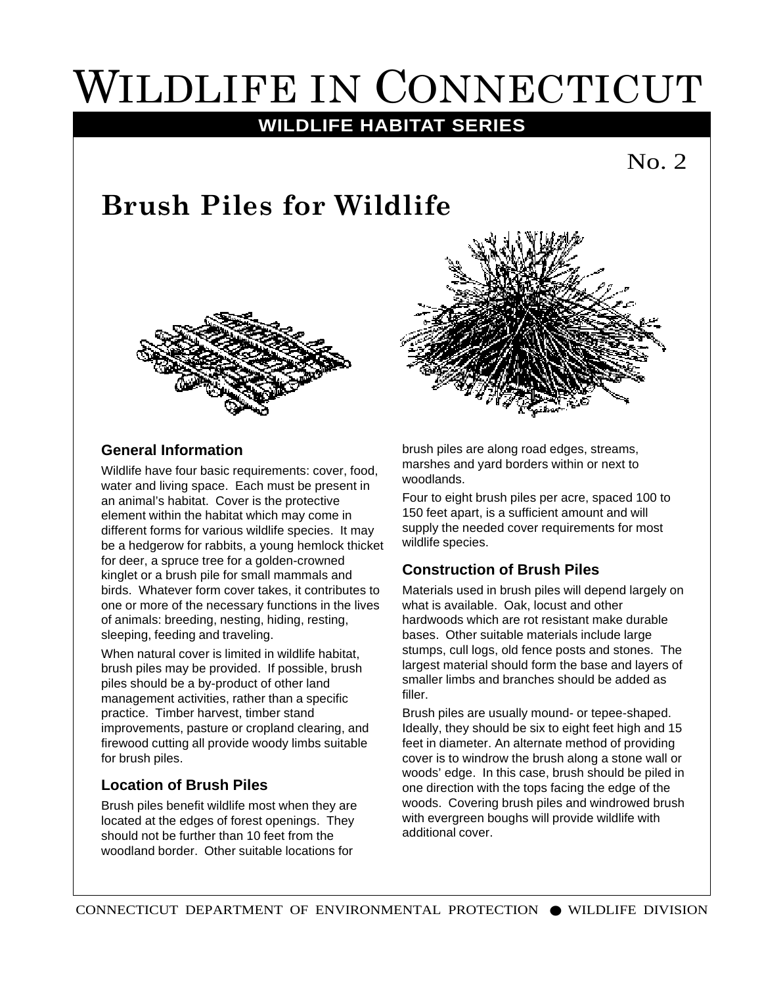# WILDLIFE IN CONNECTICUT

### **WILDLIFE HABITAT SERIES**

## **Brush Piles for Wildlife**





#### **General Information**

Wildlife have four basic requirements: cover, food, water and living space. Each must be present in an animal's habitat. Cover is the protective element within the habitat which may come in different forms for various wildlife species. It may be a hedgerow for rabbits, a young hemlock thicket for deer, a spruce tree for a golden-crowned kinglet or a brush pile for small mammals and birds. Whatever form cover takes, it contributes to one or more of the necessary functions in the lives of animals: breeding, nesting, hiding, resting, sleeping, feeding and traveling.

When natural cover is limited in wildlife habitat. brush piles may be provided. If possible, brush piles should be a by-product of other land management activities, rather than a specific practice. Timber harvest, timber stand improvements, pasture or cropland clearing, and firewood cutting all provide woody limbs suitable for brush piles.

#### **Location of Brush Piles**

Brush piles benefit wildlife most when they are located at the edges of forest openings. They should not be further than 10 feet from the woodland border. Other suitable locations for

brush piles are along road edges, streams, marshes and yard borders within or next to woodlands.

Four to eight brush piles per acre, spaced 100 to 150 feet apart, is a sufficient amount and will supply the needed cover requirements for most wildlife species.

#### **Construction of Brush Piles**

Materials used in brush piles will depend largely on what is available. Oak, locust and other hardwoods which are rot resistant make durable bases. Other suitable materials include large stumps, cull logs, old fence posts and stones. The largest material should form the base and layers of smaller limbs and branches should be added as filler.

Brush piles are usually mound- or tepee-shaped. Ideally, they should be six to eight feet high and 15 feet in diameter. An alternate method of providing cover is to windrow the brush along a stone wall or woods' edge. In this case, brush should be piled in one direction with the tops facing the edge of the woods. Covering brush piles and windrowed brush with evergreen boughs will provide wildlife with additional cover.